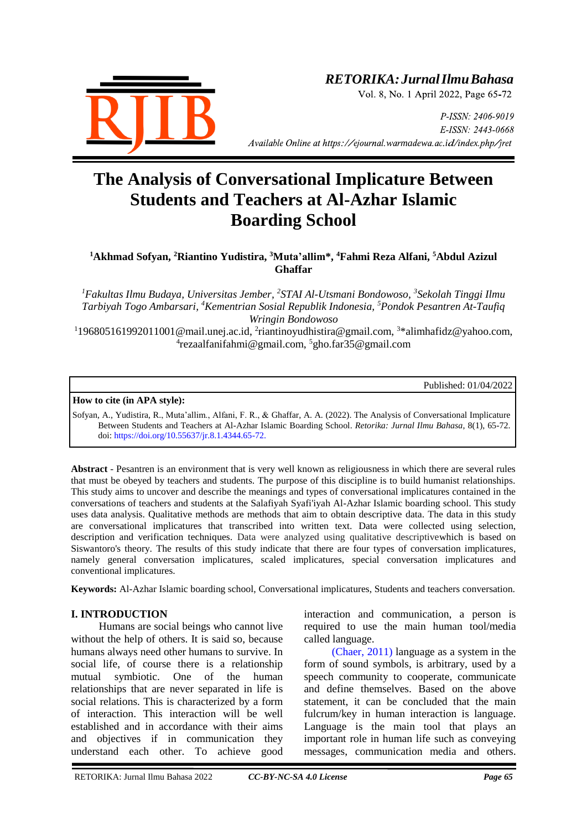

## *RETORIKA:JurnalIlmuBahasa*

Vol. 8, No. 1 April 2022, Page 65-72

P-ISSN: 2406-9019 E-ISSN: 2443-0668 *Available Online at https://ejournal.warmadewa.ac.id/index.php/jret* 

# **The Analysis of Conversational Implicature Between Students and Teachers at Al-Azhar Islamic Boarding School**

#### **<sup>1</sup>Akhmad Sofyan, <sup>2</sup>Riantino Yudistira, <sup>3</sup>Muta'allim\*, <sup>4</sup>Fahmi Reza Alfani, <sup>5</sup>Abdul Azizul Ghaffar**

*<sup>1</sup>Fakultas Ilmu Budaya, Universitas Jember, 2 STAI Al-Utsmani Bondowoso, <sup>3</sup> Sekolah Tinggi Ilmu Tarbiyah Togo Ambarsari, <sup>4</sup>Kementrian Sosial Republik Indonesia, <sup>5</sup>Pondok Pesantren At-Taufiq Wringin Bondowoso*

<sup>1</sup>196805161992011001@mail.unej.ac.id, <sup>2</sup>[riantinoyudhistira@gmail.com,](mailto:2riantinoyudhistira@gmail.com) <sup>3\*</sup>alimhafidz@yahoo.com, 4 rezaalfanifahmi@gmail.com, <sup>5</sup>gho.far35@gmail.com

Published: 01/04/2022

#### **How to cite (in APA style):**

Sofyan, A., Yudistira, R., Muta'allim., Alfani, F. R., & Ghaffar, A. A. (2022). The Analysis of Conversational Implicature Between Students and Teachers at Al-Azhar Islamic Boarding School. *Retorika: Jurnal Ilmu Bahasa*, 8(1), 65-72. doi:<https://doi.org/10.55637/jr.8.1.4344.65-72.>

**Abstract** - Pesantren is an environment that is very well known as religiousness in which there are several rules that must be obeyed by teachers and students. The purpose of this discipline is to build humanist relationships. This study aims to uncover and describe the meanings and types of conversational implicatures contained in the conversations of teachers and students at the Salafiyah Syafi'iyah Al-Azhar Islamic boarding school. This study uses data analysis. Qualitative methods are methods that aim to obtain descriptive data. The data in this study are conversational implicatures that transcribed into written text. Data were collected using selection, description and verification techniques. Data were analyzed using qualitative descriptivewhich is based on Siswantoro's theory. The results of this study indicate that there are four types of conversation implicatures, namely general conversation implicatures, scaled implicatures, special conversation implicatures and conventional implicatures.

**Keywords:** Al-Azhar Islamic boarding school, Conversational implicatures, Students and teachers conversation.

#### **I. INTRODUCTION**

Humans are social beings who cannot live without the help of others. It is said so, because humans always need other humans to survive. In social life, of course there is a relationship mutual symbiotic. One of the human relationships that are never separated in life is social relations. This is characterized by a form of interaction. This interaction will be well established and in accordance with their aims and objectives if in communication they understand each other. To achieve good interaction and communication, a person is required to use the main human tool/media called language.

[\(Chaer, 2011\)](#page-7-0) language as a system in the form of sound symbols, is arbitrary, used by a speech community to cooperate, communicate and define themselves. Based on the above statement, it can be concluded that the main fulcrum/key in human interaction is language. Language is the main tool that plays an important role in human life such as conveying messages, communication media and others.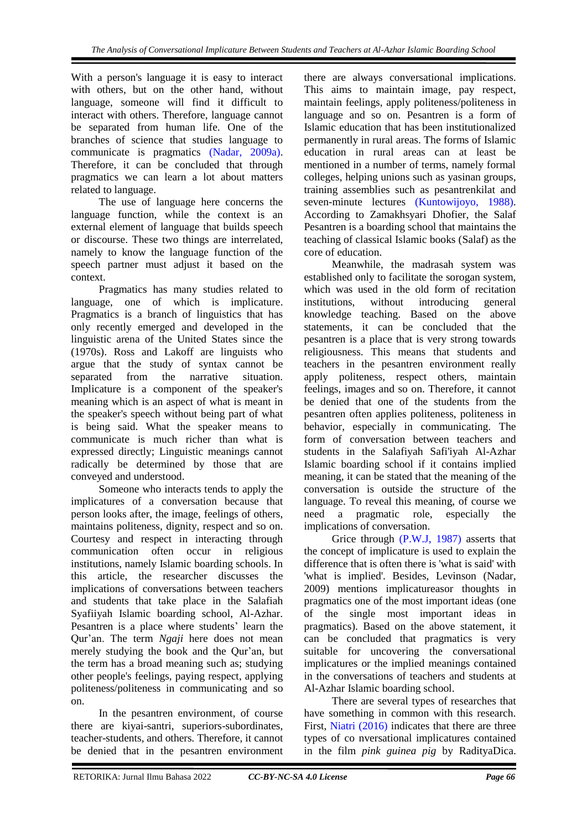With a person's language it is easy to interact with others, but on the other hand, without language, someone will find it difficult to interact with others. Therefore, language cannot be separated from human life. One of the branches of science that studies language to communicate is pragmatics [\(Nadar, 2009a\).](#page-7-0) Therefore, it can be concluded that through pragmatics we can learn a lot about matters related to language.

The use of language here concerns the language function, while the context is an external element of language that builds speech or discourse. These two things are interrelated, namely to know the language function of the speech partner must adjust it based on the context.

Pragmatics has many studies related to language, one of which is implicature. Pragmatics is a branch of linguistics that has only recently emerged and developed in the linguistic arena of the United States since the (1970s). Ross and Lakoff are linguists who argue that the study of syntax cannot be separated from the narrative situation. Implicature is a component of the speaker's meaning which is an aspect of what is meant in the speaker's speech without being part of what is being said. What the speaker means to communicate is much richer than what is expressed directly; Linguistic meanings cannot radically be determined by those that are conveyed and understood.

Someone who interacts tends to apply the implicatures of a conversation because that person looks after, the image, feelings of others, maintains politeness, dignity, respect and so on. Courtesy and respect in interacting through communication often occur in religious institutions, namely Islamic boarding schools. In this article, the researcher discusses the implications of conversations between teachers and students that take place in the Salafiah Syafiiyah Islamic boarding school, Al-Azhar. Pesantren is a place where students' learn the Qur'an. The term *Ngaji* here does not mean merely studying the book and the Qur'an, but the term has a broad meaning such as; studying other people's feelings, paying respect, applying politeness/politeness in communicating and so on.

In the pesantren environment, of course there are kiyai-santri, superiors-subordinates, teacher-students, and others. Therefore, it cannot be denied that in the pesantren environment there are always conversational implications. This aims to maintain image, pay respect, maintain feelings, apply politeness/politeness in language and so on. Pesantren is a form of Islamic education that has been institutionalized permanently in rural areas. The forms of Islamic education in rural areas can at least be mentioned in a number of terms, namely formal colleges, helping unions such as yasinan groups, training assemblies such as pesantrenkilat and seven-minute lectures [\(Kuntowijoyo, 1988\).](#page-7-0) According to Zamakhsyari Dhofier, the Salaf Pesantren is a boarding school that maintains the teaching of classical Islamic books (Salaf) as the core of education.

Meanwhile, the madrasah system was established only to facilitate the sorogan system, which was used in the old form of recitation institutions, without introducing general knowledge teaching. Based on the above statements, it can be concluded that the pesantren is a place that is very strong towards religiousness. This means that students and teachers in the pesantren environment really apply politeness, respect others, maintain feelings, images and so on. Therefore, it cannot be denied that one of the students from the pesantren often applies politeness, politeness in behavior, especially in communicating. The form of conversation between teachers and students in the Salafiyah Safi'iyah Al-Azhar Islamic boarding school if it contains implied meaning, it can be stated that the meaning of the conversation is outside the structure of the language. To reveal this meaning, of course we need a pragmatic role, especially the implications of conversation.

Grice through [\(P.W.J, 1987\)](#page-7-0) asserts that the concept of implicature is used to explain the difference that is often there is 'what is said' with 'what is implied'. Besides, Levinson (Nadar, 2009) mentions implicatureasor thoughts in pragmatics one of the most important ideas (one of the single most important ideas in pragmatics). Based on the above statement, it can be concluded that pragmatics is very suitable for uncovering the conversational implicatures or the implied meanings contained in the conversations of teachers and students at Al-Azhar Islamic boarding school.

There are several types of researches that have something in common with this research. First, Niatri [\(2016\)](#page-7-0) indicates that there are three types of co nversational implicatures contained in the film *pink guinea pig* by RadityaDica.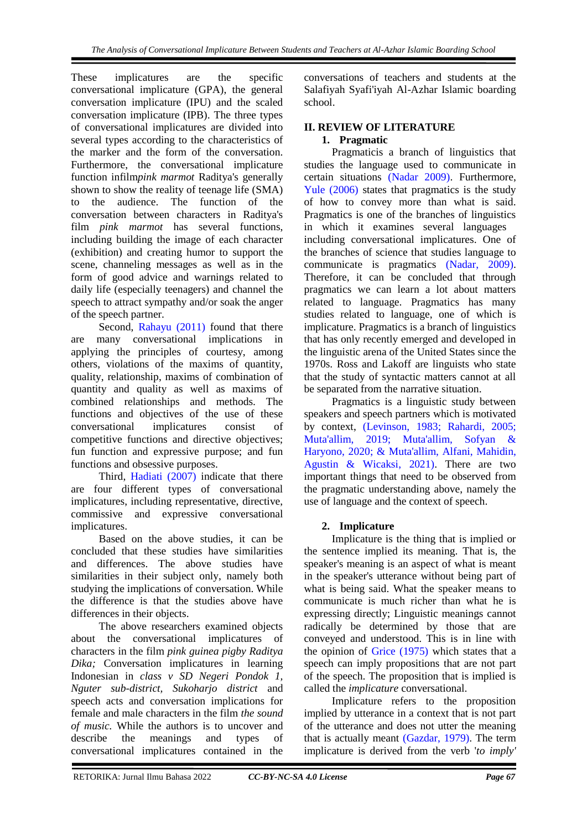These implicatures are the specific conversational implicature (GPA), the general conversation implicature (IPU) and the scaled conversation implicature (IPB). The three types of conversational implicatures are divided into several types according to the characteristics of the marker and the form of the conversation. Furthermore, the conversational implicature function infilm*pink marmot* Raditya's generally shown to show the reality of teenage life (SMA) to the audience. The function of the conversation between characters in Raditya's film *pink marmot* has several functions, including building the image of each character (exhibition) and creating humor to support the scene, channeling messages as well as in the form of good advice and warnings related to daily life (especially teenagers) and channel the speech to attract sympathy and/or soak the anger of the speech partner.

Second, [Rahayu \(2011\)](#page-7-0) found that there are many conversational implications in applying the principles of courtesy, among others, violations of the maxims of quantity, quality, relationship, maxims of combination of quantity and quality as well as maxims of combined relationships and methods. The functions and objectives of the use of these conversational implicatures consist of competitive functions and directive objectives; fun function and expressive purpose; and fun functions and obsessive purposes.

Third, [Hadiati \(2007\)](#page-7-0) indicate that there are four different types of conversational implicatures, including representative, directive, commissive and expressive conversational implicatures.

Based on the above studies, it can be concluded that these studies have similarities and differences. The above studies have similarities in their subject only, namely both studying the implications of conversation. While the difference is that the studies above have differences in their objects.

The above researchers examined objects about the conversational implicatures of characters in the film *pink guinea pigby Raditya Dika;* Conversation implicatures in learning Indonesian in *class v SD Negeri Pondok 1, Nguter sub-district, Sukoharjo district* and speech acts and conversation implications for female and male characters in the film *the sound of music.* While the authors is to uncover and describe the meanings and types of conversational implicatures contained in the

conversations of teachers and students at the Salafiyah Syafi'iyah Al-Azhar Islamic boarding school.

#### **II. REVIEW OF LITERATURE 1. Pragmatic**

Pragmaticis a branch of linguistics that studies the language used to communicate in certain situations [\(Nadar 2009\).](#page-7-0) Furthermore, [Yule \(2006\)](#page-7-0) states that pragmatics is the study of how to convey more than what is said. Pragmatics is one of the branches of linguistics in which it examines several languages including conversational implicatures. One of the branches of science that studies language to communicate is pragmatics [\(Nadar, 2009\).](#page-7-0) Therefore, it can be concluded that through pragmatics we can learn a lot about matters related to language. Pragmatics has many studies related to language, one of which is implicature. Pragmatics is a branch of linguistics that has only recently emerged and developed in the linguistic arena of the United States since the 1970s. Ross and Lakoff are linguists who state that the study of syntactic matters cannot at all be separated from the narrative situation.

Pragmatics is a linguistic study between speakers and speech partners which is motivated by context, [\(Levinson, 1983; Rahardi, 2005;](#page-7-0)  [Muta'allim, 2019; Muta'allim, Sofyan &](#page-7-0)  [Haryono, 2020; & Muta'allim, Alfani, Mahidin,](#page-7-0)  [Agustin & Wicaksi, 2021\).](#page-7-0) There are two important things that need to be observed from the pragmatic understanding above, namely the use of language and the context of speech.

## **2. Implicature**

Implicature is the thing that is implied or the sentence implied its meaning. That is, the speaker's meaning is an aspect of what is meant in the speaker's utterance without being part of what is being said. What the speaker means to communicate is much richer than what he is expressing directly; Linguistic meanings cannot radically be determined by those that are conveyed and understood. This is in line with the opinion of [Grice \(1975\)](#page-7-0) which states that a speech can imply propositions that are not part of the speech. The proposition that is implied is called the *implicature* conversational.

Implicature refers to the proposition implied by utterance in a context that is not part of the utterance and does not utter the meaning that is actually meant [\(Gazdar, 1979\).](#page-7-0) The term implicature is derived from the verb '*to imply'*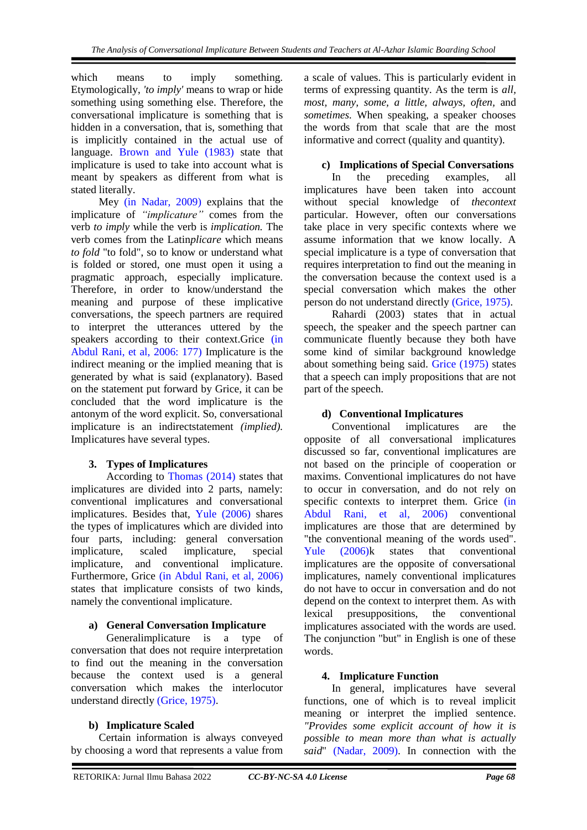which means to imply something. Etymologically, *'to imply'* means to wrap or hide something using something else. Therefore, the conversational implicature is something that is hidden in a conversation, that is, something that is implicitly contained in the actual use of language. [Brown and Yule \(1983\)](#page-7-0) state that implicature is used to take into account what is meant by speakers as different from what is stated literally.

Mey [\(in Nadar, 2009\)](#page-7-0) explains that the implicature of *"implicature"* comes from the verb *to imply* while the verb is *implication.* The verb comes from the Latin*plicare* which means *to fold* "to fold", so to know or understand what is folded or stored, one must open it using a pragmatic approach, especially implicature. Therefore, in order to know/understand the meaning and purpose of these implicative conversations, the speech partners are required to interpret the utterances uttered by the speakers according to their context.Grice [\(in](#page-7-0)  [Abdul Rani, et al, 2006: 177\)](#page-7-0) Implicature is the indirect meaning or the implied meaning that is generated by what is said (explanatory). Based on the statement put forward by Grice, it can be concluded that the word implicature is the antonym of the word explicit. So, conversational implicature is an indirectstatement *(implied).*  Implicatures have several types.

### **3. Types of Implicatures**

According to [Thomas \(2014\)](#page-7-0) states that implicatures are divided into 2 parts, namely: conventional implicatures and conversational implicatures. Besides that, [Yule \(2006\)](#page-7-0) shares the types of implicatures which are divided into four parts, including: general conversation implicature, scaled implicature, special implicature, and conventional implicature. Furthermore, Grice [\(in Abdul Rani, et al, 2006\)](#page-7-0) states that implicature consists of two kinds, namely the conventional implicature.

### **a) General Conversation Implicature**

Generalimplicature is a type of conversation that does not require interpretation to find out the meaning in the conversation because the context used is a general conversation which makes the interlocutor understand directly [\(Grice, 1975\).](#page-7-0)

### **b) Implicature Scaled**

Certain information is always conveyed by choosing a word that represents a value from a scale of values. This is particularly evident in terms of expressing quantity. As the term is *all, most, many, some, a little, always, often,* and *sometimes.* When speaking, a speaker chooses the words from that scale that are the most informative and correct (quality and quantity).

## **c) Implications of Special Conversations**

In the preceding examples, all implicatures have been taken into account without special knowledge of *thecontext*  particular. However, often our conversations take place in very specific contexts where we assume information that we know locally. A special implicature is a type of conversation that requires interpretation to find out the meaning in the conversation because the context used is a special conversation which makes the other person do not understand directly [\(Grice, 1975\).](#page-7-0)

Rahardi (2003) states that in actual speech, the speaker and the speech partner can communicate fluently because they both have some kind of similar background knowledge about something being said. [Grice \(1975\)](#page-7-0) states that a speech can imply propositions that are not part of the speech.

## **d) Conventional Implicatures**

Conventional implicatures are the opposite of all conversational implicatures discussed so far, conventional implicatures are not based on the principle of cooperation or maxims. Conventional implicatures do not have to occur in conversation, and do not rely on specific contexts to interpret them. Grice (in [Abdul Rani, et al, 2006\)](#page-7-0) conventional implicatures are those that are determined by "the conventional meaning of the words used". [Yule \(2006\)k](#page-7-0) states that conventional implicatures are the opposite of conversational implicatures, namely conventional implicatures do not have to occur in conversation and do not depend on the context to interpret them. As with lexical presuppositions, the conventional implicatures associated with the words are used. The conjunction "but" in English is one of these words.

### **4. Implicature Function**

In general, implicatures have several functions, one of which is to reveal implicit meaning or interpret the implied sentence. *"Provides some explicit account of how it is possible to mean more than what is actually said*" [\(Nadar, 2009\).](#page-7-0) In connection with the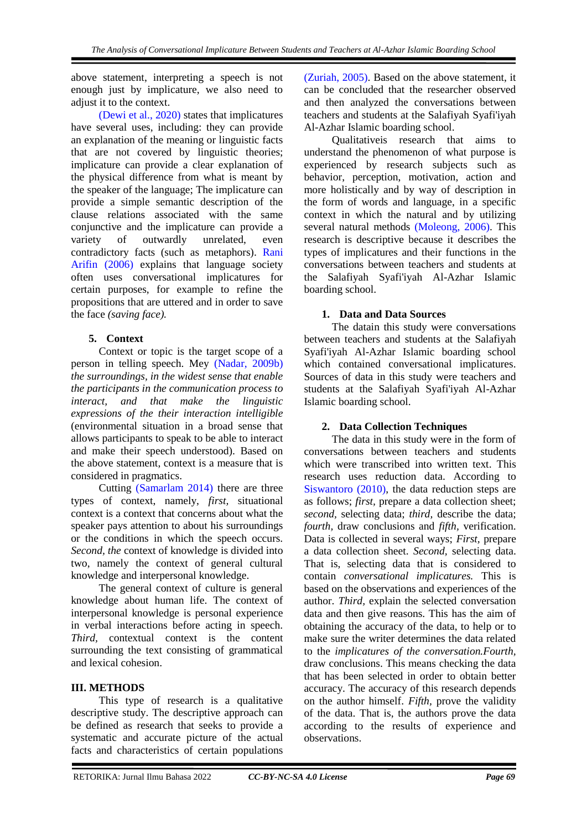above statement, interpreting a speech is not enough just by implicature, we also need to adjust it to the context.

[\(Dewi et al., 2020\)](#page-7-0) states that implicatures have several uses, including: they can provide an explanation of the meaning or linguistic facts that are not covered by linguistic theories; implicature can provide a clear explanation of the physical difference from what is meant by the speaker of the language; The implicature can provide a simple semantic description of the clause relations associated with the same conjunctive and the implicature can provide a variety of outwardly unrelated, even contradictory facts (such as metaphors). [Rani](#page-7-0)  Arifin (2006) explains that language society often uses conversational implicatures for certain purposes, for example to refine the propositions that are uttered and in order to save the face *(saving face).*

## **5. Context**

Context or topic is the target scope of a person in telling speech. Mey [\(Nadar, 2009b\)](#page-7-0) *the surroundings, in the widest sense that enable the participants in the communication process to interact, and that make the linguistic expressions of the their interaction intelligible*  (environmental situation in a broad sense that allows participants to speak to be able to interact and make their speech understood). Based on the above statement, context is a measure that is considered in pragmatics.

Cutting [\(Samarlam 2014\)](#page-7-0) there are three types of context, namely, *first,* situational context is a context that concerns about what the speaker pays attention to about his surroundings or the conditions in which the speech occurs. *Second, the* context of knowledge is divided into two, namely the context of general cultural knowledge and interpersonal knowledge.

The general context of culture is general knowledge about human life. The context of interpersonal knowledge is personal experience in verbal interactions before acting in speech. *Third,* contextual context is the content surrounding the text consisting of grammatical and lexical cohesion.

### **III. METHODS**

This type of research is a qualitative descriptive study. The descriptive approach can be defined as research that seeks to provide a systematic and accurate picture of the actual facts and characteristics of certain populations [\(Zuriah, 2005\).](#page-7-0) Based on the above statement, it can be concluded that the researcher observed and then analyzed the conversations between teachers and students at the Salafiyah Syafi'iyah Al-Azhar Islamic boarding school.

Qualitativeis research that aims to understand the phenomenon of what purpose is experienced by research subjects such as behavior, perception, motivation, action and more holistically and by way of description in the form of words and language, in a specific context in which the natural and by utilizing several natural methods [\(Moleong, 2006\).](#page-7-0) This research is descriptive because it describes the types of implicatures and their functions in the conversations between teachers and students at the Salafiyah Syafi'iyah Al-Azhar Islamic boarding school.

### **1. Data and Data Sources**

The datain this study were conversations between teachers and students at the Salafiyah Syafi'iyah Al-Azhar Islamic boarding school which contained conversational implicatures. Sources of data in this study were teachers and students at the Salafiyah Syafi'iyah Al-Azhar Islamic boarding school.

### **2. Data Collection Techniques**

The data in this study were in the form of conversations between teachers and students which were transcribed into written text. This research uses reduction data. According to [Siswantoro \(2010\),](#page-7-0) the data reduction steps are as follows; *first*, prepare a data collection sheet; *second,* selecting data; *third,* describe the data; *fourth,* draw conclusions and *fifth,* verification. Data is collected in several ways; *First,* prepare a data collection sheet. *Second,* selecting data. That is, selecting data that is considered to contain *conversational implicatures.* This is based on the observations and experiences of the author. *Third,* explain the selected conversation data and then give reasons. This has the aim of obtaining the accuracy of the data, to help or to make sure the writer determines the data related to the *implicatures of the conversation.Fourth,*  draw conclusions. This means checking the data that has been selected in order to obtain better accuracy. The accuracy of this research depends on the author himself. *Fifth,* prove the validity of the data. That is, the authors prove the data according to the results of experience and observations.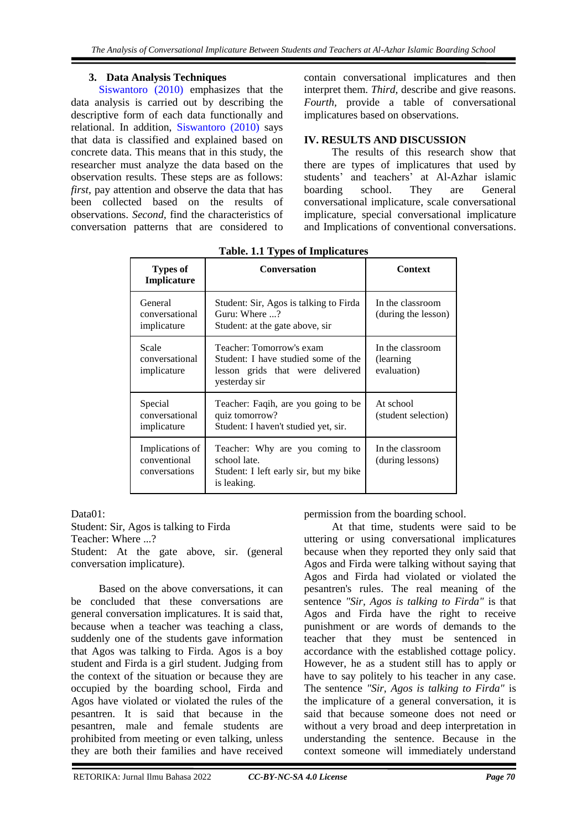## **3. Data Analysis Techniques**

[Siswantoro](#page-7-0) (2010) emphasizes that the data analysis is carried out by describing the descriptive form of each data functionally and relational. In addition, [Siswantoro \(2010\)](#page-7-0) says that data is classified and explained based on concrete data. This means that in this study, the researcher must analyze the data based on the observation results. These steps are as follows: *first,* pay attention and observe the data that has been collected based on the results of observations. *Second,* find the characteristics of conversation patterns that are considered to

contain conversational implicatures and then interpret them. *Third,* describe and give reasons. *Fourth,* provide a table of conversational implicatures based on observations.

#### **IV. RESULTS AND DISCUSSION**

The results of this research show that there are types of implicatures that used by students' and teachers' at Al-Azhar islamic boarding school. They are General conversational implicature, scale conversational implicature, special conversational implicature and Implications of conventional conversations.

| <b>Types of</b><br>Implicature                   | <b>Conversation</b>                                                                                                  | <b>Context</b>                                |
|--------------------------------------------------|----------------------------------------------------------------------------------------------------------------------|-----------------------------------------------|
| General<br>conversational<br>implicature         | Student: Sir, Agos is talking to Firda<br>Guru: Where ?<br>Student: at the gate above, sir                           | In the classroom<br>(during the lesson)       |
| Scale<br>conversational<br>implicature           | Teacher: Tomorrow's exam<br>Student: I have studied some of the<br>lesson grids that were delivered<br>yesterday sir | In the classroom<br>(learning)<br>evaluation) |
| Special<br>conversational<br>implicature         | Teacher: Faqih, are you going to be<br>quiz tomorrow?<br>Student: I haven't studied yet, sir.                        | At school<br>(student selection)              |
| Implications of<br>conventional<br>conversations | Teacher: Why are you coming to<br>school late.<br>Student: I left early sir, but my bike<br>is leaking.              | In the classroom<br>(during lessons)          |

## **Table. 1.1 Types of Implicatures**

Data01:

Student: Sir, Agos is talking to Firda

Teacher: Where ...?

Student: At the gate above, sir. (general conversation implicature).

Based on the above conversations, it can be concluded that these conversations are general conversation implicatures. It is said that, because when a teacher was teaching a class, suddenly one of the students gave information that Agos was talking to Firda. Agos is a boy student and Firda is a girl student. Judging from the context of the situation or because they are occupied by the boarding school, Firda and Agos have violated or violated the rules of the pesantren. It is said that because in the pesantren, male and female students are prohibited from meeting or even talking, unless they are both their families and have received

permission from the boarding school.

At that time, students were said to be uttering or using conversational implicatures because when they reported they only said that Agos and Firda were talking without saying that Agos and Firda had violated or violated the pesantren's rules. The real meaning of the sentence *"Sir, Agos is talking to Firda"* is that Agos and Firda have the right to receive punishment or are words of demands to the teacher that they must be sentenced in accordance with the established cottage policy. However, he as a student still has to apply or have to say politely to his teacher in any case. The sentence *"Sir, Agos is talking to Firda"* is the implicature of a general conversation, it is said that because someone does not need or without a very broad and deep interpretation in understanding the sentence. Because in the context someone will immediately understand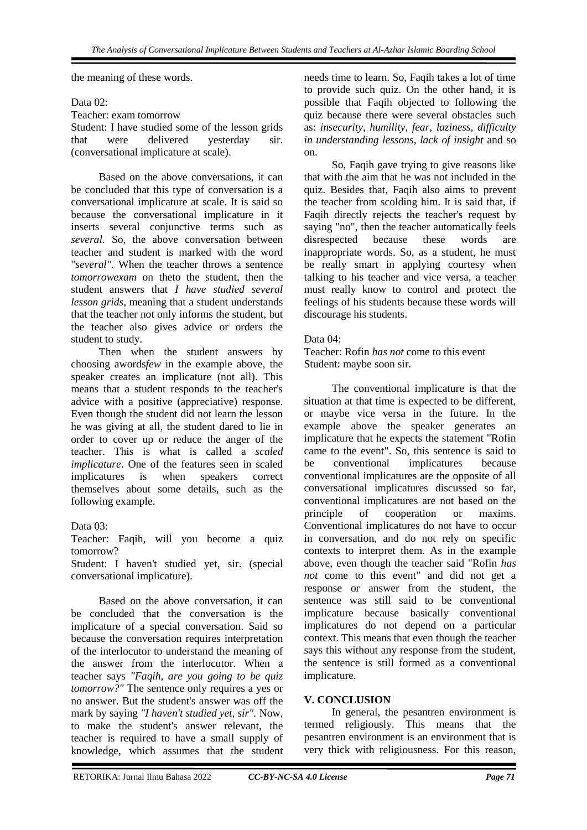the meaning of these words.

Data 02:

Teacher: exam tomorrow

Student: I have studied some of the lesson grids that were delivered yesterday sir. (conversational implicature at scale).

Based on the above conversations, it can be concluded that this type of conversation is a conversational implicature at scale. It is said so because the conversational implicature in it inserts several conjunctive terms such as *several.* So, the above conversation between teacher and student is marked with the word "*several".* When the teacher throws a sentence *tomorrowexam* on theto the student, then the student answers that *I have studied several lesson grids,* meaning that a student understands that the teacher not only informs the student, but the teacher also gives advice or orders the student to study.

Then when the student answers by choosing awords*few* in the example above, the speaker creates an implicature (not all). This means that a student responds to the teacher's advice with a positive (appreciative) response. Even though the student did not learn the lesson he was giving at all, the student dared to lie in order to cover up or reduce the anger of the teacher. This is what is called a *scaled implicature*. One of the features seen in scaled implicatures is when speakers correct themselves about some details, such as the following example.

#### Data 03:

Teacher: Faqih, will you become a quiz tomorrow?

Student: I haven't studied yet, sir. (special conversational implicature).

Based on the above conversation, it can be concluded that the conversation is the implicature of a special conversation. Said so because the conversation requires interpretation of the interlocutor to understand the meaning of the answer from the interlocutor. When a teacher says *"Faqih, are you going to be quiz tomorrow?"* The sentence only requires a yes or no answer. But the student's answer was off the mark by saying *"I haven't studied yet, sir".* Now, to make the student's answer relevant, the teacher is required to have a small supply of knowledge, which assumes that the student

needs time to learn. So, Faqih takes a lot of time to provide such quiz. On the other hand, it is possible that Faqih objected to following the quiz because there were several obstacles such as: *insecurity, humility, fear, laziness, difficulty in understanding lessons, lack of insight* and so on.

So, Faqih gave trying to give reasons like that with the aim that he was not included in the quiz. Besides that, Faqih also aims to prevent the teacher from scolding him. It is said that, if Faqih directly rejects the teacher's request by saying "no", then the teacher automatically feels disrespected because these words are inappropriate words. So, as a student, he must be really smart in applying courtesy when talking to his teacher and vice versa, a teacher must really know to control and protect the feelings of his students because these words will discourage his students.

#### Data 04:

Teacher: Rofin *has not* come to this event Student: maybe soon sir.

The conventional implicature is that the situation at that time is expected to be different, or maybe vice versa in the future. In the example above the speaker generates an implicature that he expects the statement "Rofin came to the event". So, this sentence is said to be conventional implicatures because conventional implicatures are the opposite of all conversational implicatures discussed so far, conventional implicatures are not based on the principle of cooperation or maxims. Conventional implicatures do not have to occur in conversation, and do not rely on specific contexts to interpret them. As in the example above, even though the teacher said "Rofin *has not* come to this event" and did not get a response or answer from the student, the sentence was still said to be conventional implicature because basically conventional implicatures do not depend on a particular context. This means that even though the teacher says this without any response from the student, the sentence is still formed as a conventional implicature.

#### **V. CONCLUSION**

In general, the pesantren environment is termed religiously. This means that the pesantren environment is an environment that is very thick with religiousness. For this reason,